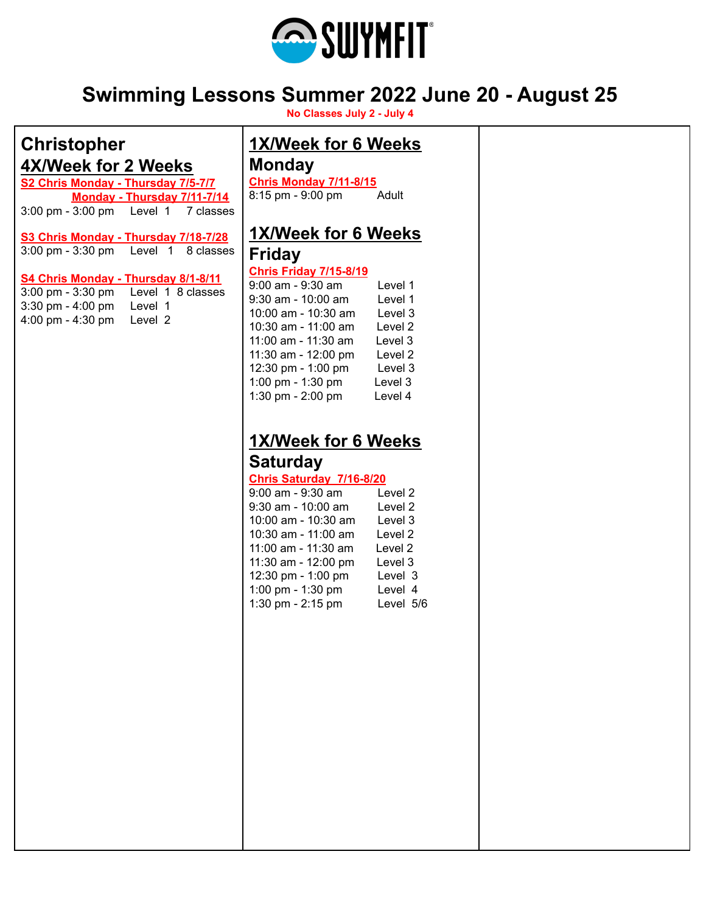

# **Swimming Lessons Summer 2022 June 20 - August 25**

**No Classes July 2 - July 4**

| <b>Christopher</b>                                                                | 1X/Week for 6 Weeks             |  |
|-----------------------------------------------------------------------------------|---------------------------------|--|
| 4X/Week for 2 Weeks                                                               | <b>Monday</b>                   |  |
| S2 Chris Monday - Thursday 7/5-7/7                                                | <b>Chris Monday 7/11-8/15</b>   |  |
| Monday - Thursday 7/11-7/14                                                       | 8:15 pm - 9:00 pm<br>Adult      |  |
| 3:00 pm - 3:00 pm Level 1<br>7 classes                                            |                                 |  |
| S3 Chris Monday - Thursday 7/18-7/28<br>3:00 pm - 3:30 pm    Level 1    8 classes | 1X/Week for 6 Weeks             |  |
|                                                                                   | <b>Friday</b>                   |  |
|                                                                                   | <b>Chris Friday 7/15-8/19</b>   |  |
| S4 Chris Monday - Thursday 8/1-8/11                                               | 9:00 am - 9:30 am<br>Level 1    |  |
| 3:00 pm - 3:30 pm Level 1 8 classes                                               | $9:30$ am - 10:00 am<br>Level 1 |  |
| 3:30 pm - 4:00 pm Level 1                                                         | 10:00 am - 10:30 am<br>Level 3  |  |
| 4:00 pm - 4:30 pm<br>Level 2                                                      | 10:30 am - 11:00 am<br>Level 2  |  |
|                                                                                   | 11:00 am - 11:30 am<br>Level 3  |  |
|                                                                                   |                                 |  |
|                                                                                   | 11:30 am - 12:00 pm<br>Level 2  |  |
|                                                                                   | 12:30 pm - 1:00 pm<br>Level 3   |  |
|                                                                                   | 1:00 pm - 1:30 pm<br>Level 3    |  |
|                                                                                   | 1:30 pm - 2:00 pm<br>Level 4    |  |
|                                                                                   |                                 |  |
|                                                                                   |                                 |  |
|                                                                                   | 1X/Week for 6 Weeks             |  |
|                                                                                   | <b>Saturday</b>                 |  |
|                                                                                   | Chris Saturday 7/16-8/20        |  |
|                                                                                   | 9:00 am - 9:30 am<br>Level 2    |  |
|                                                                                   |                                 |  |
|                                                                                   | $9:30$ am - 10:00 am<br>Level 2 |  |
|                                                                                   | 10:00 am - 10:30 am<br>Level 3  |  |
|                                                                                   | 10:30 am - 11:00 am<br>Level 2  |  |
|                                                                                   | 11:00 am - 11:30 am<br>Level 2  |  |
|                                                                                   | 11:30 am - 12:00 pm<br>Level 3  |  |
|                                                                                   | 12:30 pm - 1:00 pm<br>Level 3   |  |
|                                                                                   | 1:00 pm - 1:30 pm<br>Level 4    |  |
|                                                                                   | 1:30 pm - 2:15 pm<br>Level 5/6  |  |
|                                                                                   |                                 |  |
|                                                                                   |                                 |  |
|                                                                                   |                                 |  |
|                                                                                   |                                 |  |
|                                                                                   |                                 |  |
|                                                                                   |                                 |  |
|                                                                                   |                                 |  |
|                                                                                   |                                 |  |
|                                                                                   |                                 |  |
|                                                                                   |                                 |  |
|                                                                                   |                                 |  |
|                                                                                   |                                 |  |
|                                                                                   |                                 |  |
|                                                                                   |                                 |  |
|                                                                                   |                                 |  |
|                                                                                   |                                 |  |
|                                                                                   |                                 |  |
|                                                                                   |                                 |  |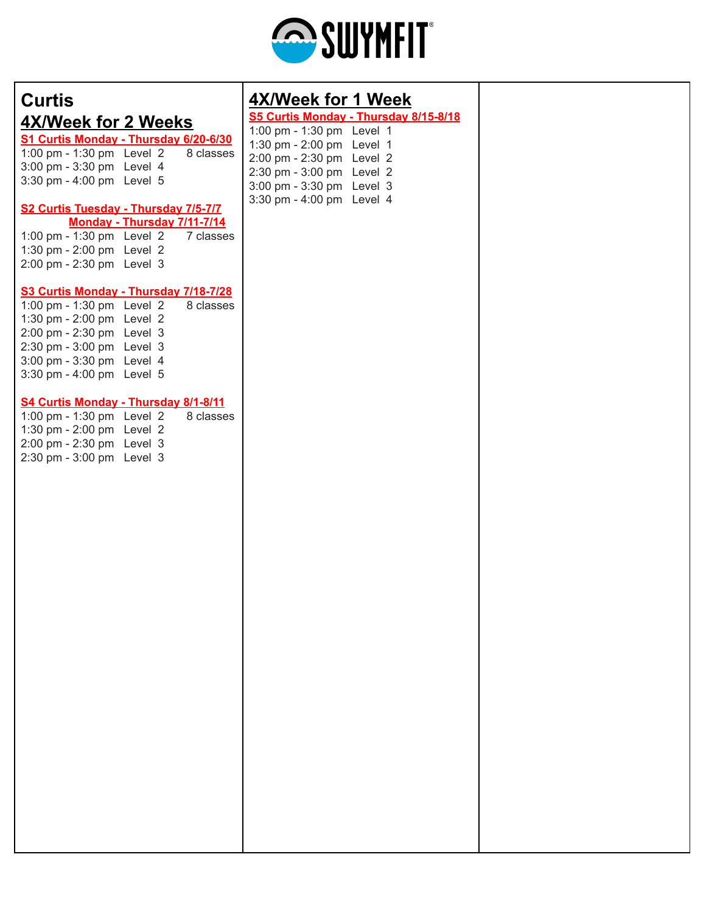

# **Curtis 4X/Week for 2 Weeks**

**S1 Curtis Monday - Thursday 6/20-6/30** 1:00 pm - 1:30 pm Level  $2$  8 classes 3:00 pm - 3:30 pm Level 4 3:30 pm - 4:00 pm Level 5

#### **S2 Curtis Tuesday - Thursday 7/5-7/7 Monday - Thursday 7/11-7/14**

|                           |  | $111911997 - 111919997 1111 11117$    |
|---------------------------|--|---------------------------------------|
|                           |  | 1:00 pm - 1:30 pm Level $2$ 7 classes |
| 1:30 pm - 2:00 pm Level 2 |  |                                       |
| 2:00 pm - 2:30 pm Level 3 |  |                                       |
|                           |  |                                       |

#### **S3 Curtis Monday - Thursday 7/18-7/28**

1:00 pm - 1:30 pm Level  $2$  8 classes 1:30 pm - 2:00 pm Level 2 2:00 pm - 2:30 pm Level 3 2:30 pm - 3:00 pm Level 3 3:00 pm - 3:30 pm Level 4 3:30 pm - 4:00 pm Level 5

#### **S4 Curtis Monday - Thursday 8/1-8/11**

1:00 pm - 1:30 pm Level  $2$  8 classes 1:30 pm - 2:00 pm Level 2 2:00 pm - 2:30 pm Level 3 2:30 pm - 3:00 pm Level 3

### **4X/Week for 1 Week**

#### **S5 Curtis Monday - Thursday 8/15-8/18** 1:00 pm - 1:30 pm Level 1

| p  p = -  .               |
|---------------------------|
| 1:30 pm - 2:00 pm Level 1 |
| 2:00 pm - 2:30 pm Level 2 |
| 2:30 pm - 3:00 pm Level 2 |
| 3:00 pm - 3:30 pm Level 3 |
| 3:30 pm - 4:00 pm Level 4 |
|                           |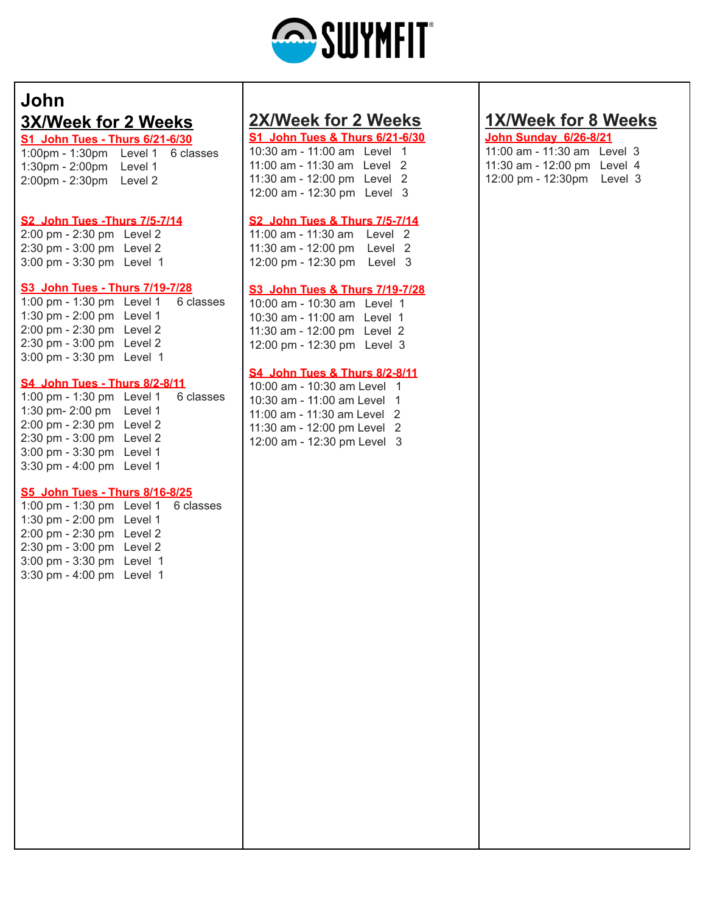

## **John 3X/Week for 2 Weeks**

**S1 John Tues - Thurs 6/21-6/30** 1:00pm - 1:30pm Level 1 6 classes 1:30pm - 2:00pm Level 1 2:00pm - 2:30pm Level 2

#### **S2 John Tues -Thurs 7/5-7/14**

2:00 pm - 2:30 pm Level 2 2:30 pm - 3:00 pm Level 2 3:00 pm - 3:30 pm Level 1

#### **S3 John Tues - Thurs 7/19-7/28**

1:00 pm - 1:30 pm Level 1 6 classes 1:30 pm - 2:00 pm Level 1 2:00 pm - 2:30 pm Level 2 2:30 pm - 3:00 pm Level 2 3:00 pm - 3:30 pm Level 1

#### **S4 John Tues - Thurs 8/2-8/11**

1:00 pm - 1:30 pm Level 1 6 classes 1:30 pm- 2:00 pm Level 1 2:00 pm - 2:30 pm Level 2 2:30 pm - 3:00 pm Level 2 3:00 pm - 3:30 pm Level 1 3:30 pm - 4:00 pm Level 1

#### **S5 John Tues - Thurs 8/16-8/25**

1:00 pm - 1:30 pm Level 1 6 classes 1:30 pm - 2:00 pm Level 1 2:00 pm - 2:30 pm Level 2 2:30 pm - 3:00 pm Level 2 3:00 pm - 3:30 pm Level 1 3:30 pm - 4:00 pm Level 1

### **2X/Week for 2 Weeks**

**S1 John Tues & Thurs 6/21-6/30** 10:30 am - 11:00 am Level 1 11:00 am - 11:30 am Level 2 11:30 am - 12:00 pm Level 2 12:00 am - 12:30 pm Level 3

#### **S2 John Tues & Thurs 7/5-7/14**

11:00 am - 11:30 am Level 2 11:30 am - 12:00 pm Level 2 12:00 pm - 12:30 pm Level 3

#### **S3 John Tues & Thurs 7/19-7/28**

10:00 am - 10:30 am Level 1 10:30 am - 11:00 am Level 1 11:30 am - 12:00 pm Level 2 12:00 pm - 12:30 pm Level 3

#### **S4 John Tues & Thurs 8/2-8/11**

10:00 am - 10:30 am Level 1 10:30 am - 11:00 am Level 1 11:00 am - 11:30 am Level 2 11:30 am - 12:00 pm Level 2 12:00 am - 12:30 pm Level 3

### **1X/Week for 8 Weeks**

#### **John Sunday 6/26-8/21**

11:00 am - 11:30 am Level 3 11:30 am - 12:00 pm Level 4 12:00 pm - 12:30pm Level 3